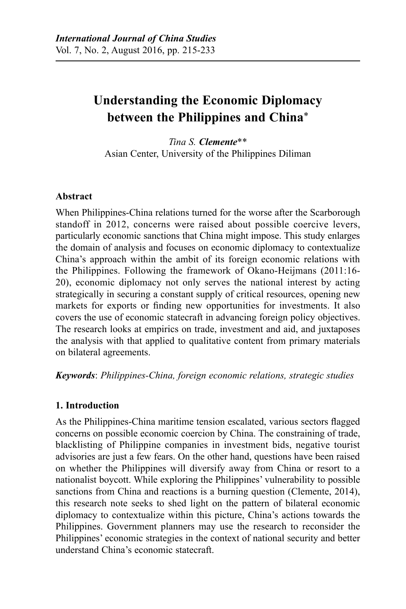# **Understanding the Economic Diplomacy between the Philippines and China**\*

*Tina S. Clemente*\*\* Asian Center, University of the Philippines Diliman

## **Abstract**

When Philippines-China relations turned for the worse after the Scarborough standoff in 2012, concerns were raised about possible coercive levers, particularly economic sanctions that China might impose. This study enlarges the domain of analysis and focuses on economic diplomacy to contextualize China's approach within the ambit of its foreign economic relations with the Philippines. Following the framework of Okano-Heijmans (2011:16- 20), economic diplomacy not only serves the national interest by acting strategically in securing a constant supply of critical resources, opening new markets for exports or finding new opportunities for investments. It also covers the use of economic statecraft in advancing foreign policy objectives. The research looks at empirics on trade, investment and aid, and juxtaposes the analysis with that applied to qualitative content from primary materials on bilateral agreements.

*Keywords*: *Philippines-China, foreign economic relations, strategic studies*

# **1. Introduction**

As the Philippines-China maritime tension escalated, various sectors flagged concerns on possible economic coercion by China. The constraining of trade, blacklisting of Philippine companies in investment bids, negative tourist advisories are just a few fears. On the other hand, questions have been raised on whether the Philippines will diversify away from China or resort to a nationalist boycott. While exploring the Philippines' vulnerability to possible sanctions from China and reactions is a burning question (Clemente, 2014), this research note seeks to shed light on the pattern of bilateral economic diplomacy to contextualize within this picture, China's actions towards the Philippines. Government planners may use the research to reconsider the Philippines' economic strategies in the context of national security and better understand China's economic statecraft.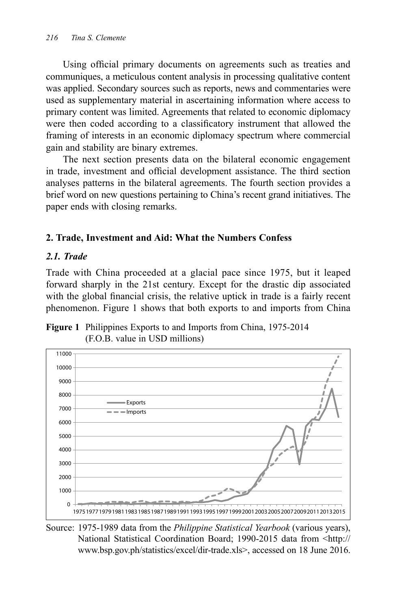Using official primary documents on agreements such as treaties and communiques, a meticulous content analysis in processing qualitative content was applied. Secondary sources such as reports, news and commentaries were used as supplementary material in ascertaining information where access to primary content was limited. Agreements that related to economic diplomacy were then coded according to a classificatory instrument that allowed the framing of interests in an economic diplomacy spectrum where commercial gain and stability are binary extremes.

The next section presents data on the bilateral economic engagement in trade, investment and official development assistance. The third section analyses patterns in the bilateral agreements. The fourth section provides a brief word on new questions pertaining to China's recent grand initiatives. The paper ends with closing remarks.

## **2. Trade, Investment and Aid: What the Numbers Confess**

## *2.1. Trade*

Trade with China proceeded at a glacial pace since 1975, but it leaped forward sharply in the 21st century. Except for the drastic dip associated with the global financial crisis, the relative uptick in trade is a fairly recent phenomenon. Figure 1 shows that both exports to and imports from China

**Figure 1** Philippines Exports to and Imports from China, 1975-2014 (F.O.B. value in USD millions)



Source: 1975-1989 data from the *Philippine Statistical Yearbook* (various years), National Statistical Coordination Board; 1990-2015 data from <http:// www.bsp.gov.ph/statistics/excel/dir-trade.xls>, accessed on 18 June 2016.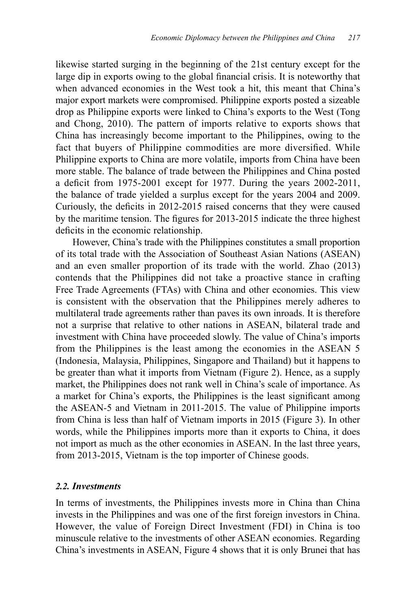likewise started surging in the beginning of the 21st century except for the large dip in exports owing to the global financial crisis. It is noteworthy that when advanced economies in the West took a hit, this meant that China's major export markets were compromised. Philippine exports posted a sizeable drop as Philippine exports were linked to China's exports to the West (Tong and Chong, 2010). The pattern of imports relative to exports shows that China has increasingly become important to the Philippines, owing to the fact that buyers of Philippine commodities are more diversified. While Philippine exports to China are more volatile, imports from China have been more stable. The balance of trade between the Philippines and China posted a deficit from 1975-2001 except for 1977. During the years 2002-2011, the balance of trade yielded a surplus except for the years 2004 and 2009. Curiously, the deficits in 2012-2015 raised concerns that they were caused by the maritime tension. The figures for 2013-2015 indicate the three highest deficits in the economic relationship.

However, China's trade with the Philippines constitutes a small proportion of its total trade with the Association of Southeast Asian Nations (ASEAN) and an even smaller proportion of its trade with the world. Zhao (2013) contends that the Philippines did not take a proactive stance in crafting Free Trade Agreements (FTAs) with China and other economies. This view is consistent with the observation that the Philippines merely adheres to multilateral trade agreements rather than paves its own inroads. It is therefore not a surprise that relative to other nations in ASEAN, bilateral trade and investment with China have proceeded slowly. The value of China's imports from the Philippines is the least among the economies in the ASEAN 5 (Indonesia, Malaysia, Philippines, Singapore and Thailand) but it happens to be greater than what it imports from Vietnam (Figure 2). Hence, as a supply market, the Philippines does not rank well in China's scale of importance. As a market for China's exports, the Philippines is the least significant among the ASEAN-5 and Vietnam in 2011-2015. The value of Philippine imports from China is less than half of Vietnam imports in 2015 (Figure 3). In other words, while the Philippines imports more than it exports to China, it does not import as much as the other economies in ASEAN. In the last three years, from 2013-2015, Vietnam is the top importer of Chinese goods.

#### *2.2. Investments*

In terms of investments, the Philippines invests more in China than China invests in the Philippines and was one of the first foreign investors in China. However, the value of Foreign Direct Investment (FDI) in China is too minuscule relative to the investments of other ASEAN economies. Regarding China's investments in ASEAN, Figure 4 shows that it is only Brunei that has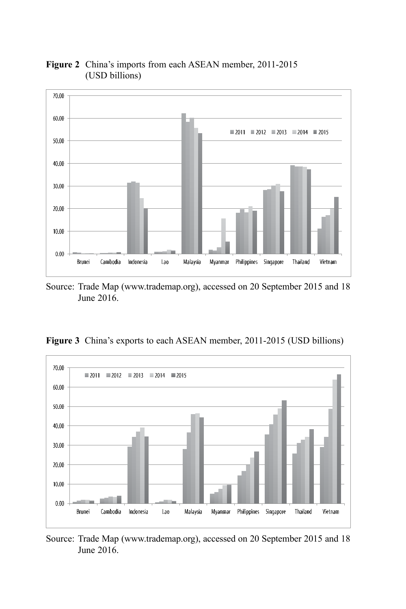

**Figure 2** China's imports from each ASEAN member, 2011-2015 (USD billions)

Source: Trade Map (www.trademap.org), accessed on 20 September 2015 and 18 June 2016.

**Figure 3** China's exports to each ASEAN member, 2011-2015 (USD billions)



Source: Trade Map (www.trademap.org), accessed on 20 September 2015 and 18 June 2016.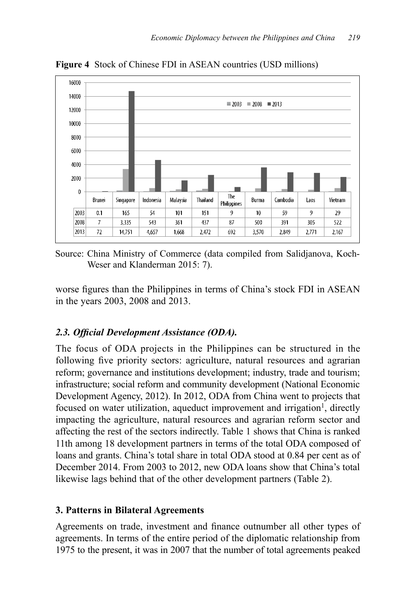

**Figure 4** Stock of Chinese FDI in ASEAN countries (USD millions)

Source: China Ministry of Commerce (data compiled from Salidjanova, Koch-Weser and Klanderman 2015: 7).

worse figures than the Philippines in terms of China's stock FDI in ASEAN in the years 2003, 2008 and 2013.

# *2.3. Official Development Assistance (ODA).*

The focus of ODA projects in the Philippines can be structured in the following five priority sectors: agriculture, natural resources and agrarian reform; governance and institutions development; industry, trade and tourism; infrastructure; social reform and community development (National Economic Development Agency, 2012). In 2012, ODA from China went to projects that focused on water utilization, aqueduct improvement and irrigation<sup>1</sup>, directly impacting the agriculture, natural resources and agrarian reform sector and affecting the rest of the sectors indirectly. Table 1 shows that China is ranked 11th among 18 development partners in terms of the total ODA composed of loans and grants. China's total share in total ODA stood at 0.84 per cent as of December 2014. From 2003 to 2012, new ODA loans show that China's total likewise lags behind that of the other development partners (Table 2).

# **3. Patterns in Bilateral Agreements**

Agreements on trade, investment and finance outnumber all other types of agreements. In terms of the entire period of the diplomatic relationship from 1975 to the present, it was in 2007 that the number of total agreements peaked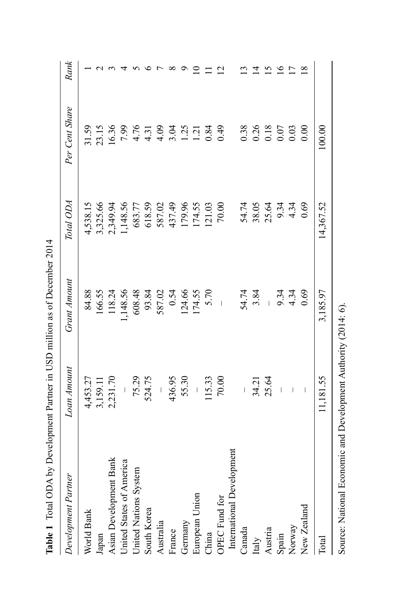| <b>Table 1</b> Total ODA by Development Partner in USD million as of December 2014 |                                                                                                                                                                                                                                                                                                                                                                                  |              |           |                  |                             |
|------------------------------------------------------------------------------------|----------------------------------------------------------------------------------------------------------------------------------------------------------------------------------------------------------------------------------------------------------------------------------------------------------------------------------------------------------------------------------|--------------|-----------|------------------|-----------------------------|
| Development Partner                                                                | Loan Amount                                                                                                                                                                                                                                                                                                                                                                      | Grant Amount | Total ODA | Per Cent Share   | Rank                        |
| World Bank                                                                         | 4,453.27                                                                                                                                                                                                                                                                                                                                                                         | 84.88        | 4,538.15  | 31.59            |                             |
| Japan                                                                              | 3,159.11                                                                                                                                                                                                                                                                                                                                                                         | 166.55       | 3,325.66  | 23.15            |                             |
| Asian Development Bank                                                             | 2,231.70                                                                                                                                                                                                                                                                                                                                                                         | 118.24       | 2,349.94  | 16.36            |                             |
| United States of America                                                           |                                                                                                                                                                                                                                                                                                                                                                                  | 1,148.56     | 1,148.56  | 7.99             |                             |
| United Nations System                                                              | 75.29                                                                                                                                                                                                                                                                                                                                                                            | 608.48       | 683.77    | 4.76             |                             |
| South Korea                                                                        | 524.75                                                                                                                                                                                                                                                                                                                                                                           | 93.84        | 618.59    |                  |                             |
| Australia                                                                          |                                                                                                                                                                                                                                                                                                                                                                                  | 587.02       | 587.02    | $4.31$<br>$4.09$ |                             |
| France                                                                             | 436.95                                                                                                                                                                                                                                                                                                                                                                           | 0.54         | 437.49    | 3.04             | ∞                           |
| Germany                                                                            | 55.30                                                                                                                                                                                                                                                                                                                                                                            | 124.66       | 179.96    | 1.25             | ⌒                           |
| European Union                                                                     |                                                                                                                                                                                                                                                                                                                                                                                  | 174.55       | 174.55    | 1.21             | $\subseteq$                 |
| China                                                                              | 115.33                                                                                                                                                                                                                                                                                                                                                                           | 5.70         | 121.03    | 0.84             |                             |
| OPEC Fund for                                                                      | 70.00                                                                                                                                                                                                                                                                                                                                                                            |              | 70.00     | 64.0             | $\mathcal{L}_{\mathcal{L}}$ |
| International Development                                                          |                                                                                                                                                                                                                                                                                                                                                                                  |              |           |                  |                             |
| Canada                                                                             |                                                                                                                                                                                                                                                                                                                                                                                  | 54.74        | 54.74     | 0.38             |                             |
| Italy                                                                              | 34.21                                                                                                                                                                                                                                                                                                                                                                            | 3.84         | 38.05     | 0.26             | ⊻                           |
| Austria                                                                            | 25.64                                                                                                                                                                                                                                                                                                                                                                            |              | 25.64     | 0.18             | ≌                           |
| Spain                                                                              | $\overline{\phantom{a}}$                                                                                                                                                                                                                                                                                                                                                         | 9.34         | 9.34      | $0.07\,$         | $\overline{16}$             |
| Norway                                                                             | $\overline{\phantom{a}}$                                                                                                                                                                                                                                                                                                                                                         | 4.34         | 4.34      | 0.03             | $\overline{17}$             |
| New Zealand                                                                        | $\begin{array}{c} \rule{0pt}{2.5ex} \rule{0pt}{2.5ex} \rule{0pt}{2.5ex} \rule{0pt}{2.5ex} \rule{0pt}{2.5ex} \rule{0pt}{2.5ex} \rule{0pt}{2.5ex} \rule{0pt}{2.5ex} \rule{0pt}{2.5ex} \rule{0pt}{2.5ex} \rule{0pt}{2.5ex} \rule{0pt}{2.5ex} \rule{0pt}{2.5ex} \rule{0pt}{2.5ex} \rule{0pt}{2.5ex} \rule{0pt}{2.5ex} \rule{0pt}{2.5ex} \rule{0pt}{2.5ex} \rule{0pt}{2.5ex} \rule{0$ | 0.69         | 0.69      | 0.00             | $\infty$                    |
| Total                                                                              | 11,181.55                                                                                                                                                                                                                                                                                                                                                                        | 3,185.97     | 14,367.52 | 100.00           |                             |
|                                                                                    |                                                                                                                                                                                                                                                                                                                                                                                  |              |           |                  |                             |

Table 1 Total ODA by Development Partner in USD million as of December 2014

Source: National Economic and Development Authority (2014: 6). Source: National Economic and Development Authority (2014: 6).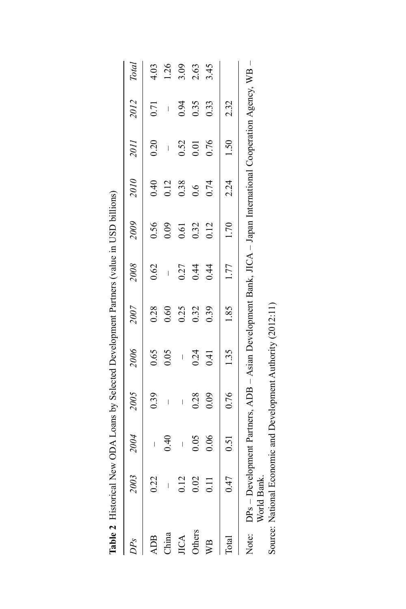|             | Table 2 Historical New ODA Loans by Selected Development Partners (value in USD billions)                                         |      |                                                                                                                                                                                                                                                                                                                                                                                  |      |      |                |      |      |                          |                          |              |
|-------------|-----------------------------------------------------------------------------------------------------------------------------------|------|----------------------------------------------------------------------------------------------------------------------------------------------------------------------------------------------------------------------------------------------------------------------------------------------------------------------------------------------------------------------------------|------|------|----------------|------|------|--------------------------|--------------------------|--------------|
|             |                                                                                                                                   | 2004 | 2005                                                                                                                                                                                                                                                                                                                                                                             | 2006 | 2007 | 2008           | 2009 | 2010 | 2011                     | 2012                     | <b>Total</b> |
| <b>ADB</b>  | 0.22                                                                                                                              |      | 0.39                                                                                                                                                                                                                                                                                                                                                                             | 0.65 | 0.28 | 0.62           | 0.56 | 0.40 | 0.20                     | 0.71                     | 4.03         |
| China       |                                                                                                                                   | 0.40 | $\begin{array}{c} \rule{0pt}{2.5ex} \rule{0pt}{2.5ex} \rule{0pt}{2.5ex} \rule{0pt}{2.5ex} \rule{0pt}{2.5ex} \rule{0pt}{2.5ex} \rule{0pt}{2.5ex} \rule{0pt}{2.5ex} \rule{0pt}{2.5ex} \rule{0pt}{2.5ex} \rule{0pt}{2.5ex} \rule{0pt}{2.5ex} \rule{0pt}{2.5ex} \rule{0pt}{2.5ex} \rule{0pt}{2.5ex} \rule{0pt}{2.5ex} \rule{0pt}{2.5ex} \rule{0pt}{2.5ex} \rule{0pt}{2.5ex} \rule{0$ | 0.05 | 0.60 | $\overline{1}$ | 0.09 | 0.12 | $\overline{\phantom{a}}$ | $\overline{\phantom{a}}$ | 1.26         |
| <b>JICA</b> |                                                                                                                                   |      | $\overline{\phantom{a}}$                                                                                                                                                                                                                                                                                                                                                         |      | 0.25 | 0.27           | 0.61 | 0.38 | 0.52                     | 0.94                     | 3.09         |
| Others      | 0.02                                                                                                                              | 0.05 | 0.28                                                                                                                                                                                                                                                                                                                                                                             | 0.24 | 0.32 | 0.44           | 0.32 | 0.6  | 0.01                     | 0.35                     | 2.63         |
| ŴВ          |                                                                                                                                   | 0.06 | 0.09                                                                                                                                                                                                                                                                                                                                                                             | 0.41 | 0.39 | 0.44           | 0.12 | 0.74 | 0.76                     | 0.33                     | 3.45         |
| Iotal       |                                                                                                                                   | 0.51 | 0.76                                                                                                                                                                                                                                                                                                                                                                             | 1.35 | 1.85 | 1.77           | 1.70 | 2.24 | 1.50                     | 232                      |              |
|             | Note: DPs - Development Partners, ADB - Asian Development Bank, JICA - Japan International Cooperation Agency, WB -<br>World Banl |      |                                                                                                                                                                                                                                                                                                                                                                                  |      |      |                |      |      |                          |                          |              |

work District Committee and Development Authority (2012:11)<br>Source: National Economic and Development Authority (2012:11) Source: National Economic and Development Authority (2012:11)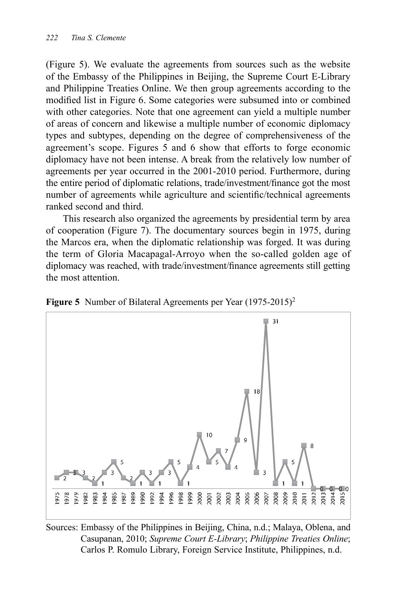(Figure 5). We evaluate the agreements from sources such as the website of the Embassy of the Philippines in Beijing, the Supreme Court E-Library and Philippine Treaties Online. We then group agreements according to the modified list in Figure 6. Some categories were subsumed into or combined with other categories. Note that one agreement can yield a multiple number of areas of concern and likewise a multiple number of economic diplomacy types and subtypes, depending on the degree of comprehensiveness of the agreement's scope. Figures 5 and 6 show that efforts to forge economic diplomacy have not been intense. A break from the relatively low number of agreements per year occurred in the 2001-2010 period. Furthermore, during the entire period of diplomatic relations, trade/investment/finance got the most number of agreements while agriculture and scientific/technical agreements ranked second and third.

This research also organized the agreements by presidential term by area of cooperation (Figure 7). The documentary sources begin in 1975, during the Marcos era, when the diplomatic relationship was forged. It was during the term of Gloria Macapagal-Arroyo when the so-called golden age of diplomacy was reached, with trade/investment/finance agreements still getting the most attention.





Sources: Embassy of the Philippines in Beijing, China, n.d.; Malaya, Oblena, and Casupanan, 2010; *Supreme Court E-Library*; *Philippine Treaties Online*; Carlos P. Romulo Library, Foreign Service Institute, Philippines, n.d.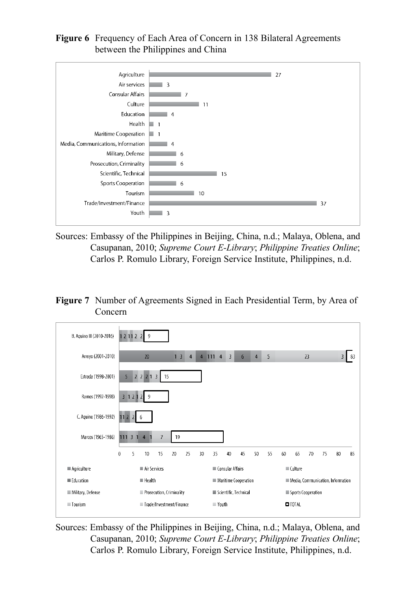#### **Figure 6** Frequency of Each Area of Concern in 138 Bilateral Agreements between the Philippines and China



- Sources: Embassy of the Philippines in Beijing, China, n.d.; Malaya, Oblena, and Casupanan, 2010; *Supreme Court E-Library*; *Philippine Treaties Online*; Carlos P. Romulo Library, Foreign Service Institute, Philippines, n.d.
- **Figure 7** Number of Agreements Signed in Each Presidential Term, by Area of Concern



Sources: Embassy of the Philippines in Beijing, China, n.d.; Malaya, Oblena, and Casupanan, 2010; *Supreme Court E-Library*; *Philippine Treaties Online*; Carlos P. Romulo Library, Foreign Service Institute, Philippines, n.d.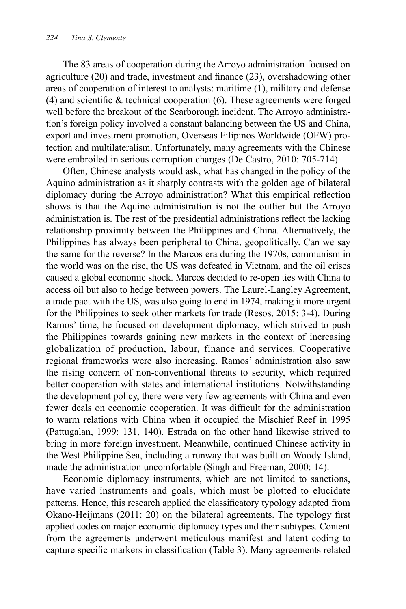The 83 areas of cooperation during the Arroyo administration focused on agriculture (20) and trade, investment and finance (23), overshadowing other areas of cooperation of interest to analysts: maritime (1), military and defense (4) and scientific & technical cooperation (6). These agreements were forged well before the breakout of the Scarborough incident. The Arroyo administration's foreign policy involved a constant balancing between the US and China, export and investment promotion, Overseas Filipinos Worldwide (OFW) protection and multilateralism. Unfortunately, many agreements with the Chinese were embroiled in serious corruption charges (De Castro, 2010: 705-714).

Often, Chinese analysts would ask, what has changed in the policy of the Aquino administration as it sharply contrasts with the golden age of bilateral diplomacy during the Arroyo administration? What this empirical reflection shows is that the Aquino administration is not the outlier but the Arroyo administration is. The rest of the presidential administrations reflect the lacking relationship proximity between the Philippines and China. Alternatively, the Philippines has always been peripheral to China, geopolitically. Can we say the same for the reverse? In the Marcos era during the 1970s, communism in the world was on the rise, the US was defeated in Vietnam, and the oil crises caused a global economic shock. Marcos decided to re-open ties with China to access oil but also to hedge between powers. The Laurel-Langley Agreement, a trade pact with the US, was also going to end in 1974, making it more urgent for the Philippines to seek other markets for trade (Resos, 2015: 3-4). During Ramos' time, he focused on development diplomacy, which strived to push the Philippines towards gaining new markets in the context of increasing globalization of production, labour, finance and services. Cooperative regional frameworks were also increasing. Ramos' administration also saw the rising concern of non-conventional threats to security, which required better cooperation with states and international institutions. Notwithstanding the development policy, there were very few agreements with China and even fewer deals on economic cooperation. It was difficult for the administration to warm relations with China when it occupied the Mischief Reef in 1995 (Pattugalan, 1999: 131, 140). Estrada on the other hand likewise strived to bring in more foreign investment. Meanwhile, continued Chinese activity in the West Philippine Sea, including a runway that was built on Woody Island, made the administration uncomfortable (Singh and Freeman, 2000: 14).

Economic diplomacy instruments, which are not limited to sanctions, have varied instruments and goals, which must be plotted to elucidate patterns. Hence, this research applied the classificatory typology adapted from Okano-Heijmans (2011: 20) on the bilateral agreements. The typology first applied codes on major economic diplomacy types and their subtypes. Content from the agreements underwent meticulous manifest and latent coding to capture specific markers in classification (Table 3). Many agreements related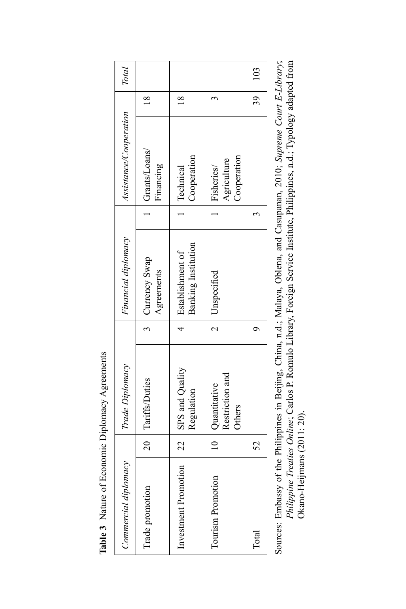| <b>Total</b>           | $\frac{8}{18}$                  | $\frac{8}{18}$                                 | 3                                            |
|------------------------|---------------------------------|------------------------------------------------|----------------------------------------------|
| Assistance/Cooperation | $ $ Grants/Loans/<br>Financing  | Cooperation<br>Technical                       | Cooperation<br>Agriculture<br>Fisheries/     |
|                        |                                 |                                                |                                              |
| Financial diplomacy    | 3   Currency Swap<br>Agreements | <b>Banking</b> Institution<br>Establishment of | Unspecified                                  |
|                        |                                 |                                                | $\sim$                                       |
| Trade Diplomacy        | 20   Tariffs/Duties             | SPS and Quality<br>Regulation                  | Restriction and<br>10 Quantitative<br>Others |
|                        |                                 | $\frac{1}{2}$                                  |                                              |
| Commercial diplomacy   | Trade promotion                 | Investment Promotion                           | Tourism Promotion                            |

Table 3 Nature of Economic Diplomacy Agreements **Table 3** Nature of Economic Diplomacy Agreements Sources: Embassy of the Philippines in Beijing, China, n.d.; Malaya, Oblena, and Casupanan, 2010; Supreme Court E-Library; Sources: Embassy of the Philippines in Beijing, China, n.d.; Malaya, Oblena, and Casupanan, 2010; *Supreme Court E-Library*; Philippine Treaties Online; Carlos P. Romulo Library, Foreign Service Institute, Philippines, n.d.; Typology adapted from *Philippine Treaties Online*; Carlos P. Romulo Library, Foreign Service Institute, Philippines, n.d.; Typology adapted from Okano-Heijmans (2011: 20). Okano-Heijmans (2011: 20).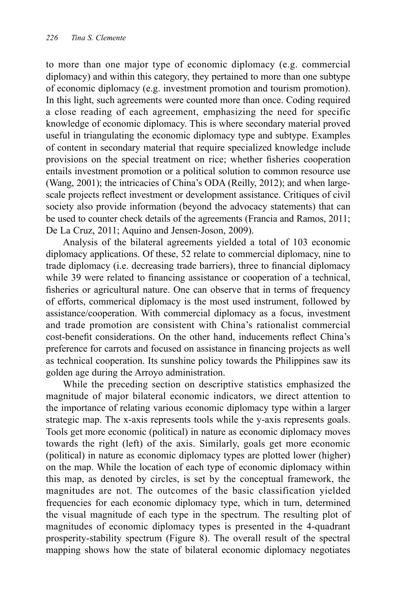to more than one major type of economic diplomacy (e.g. commercial diplomacy) and within this category, they pertained to more than one subtype of economic diplomacy (e.g. investment promotion and tourism promotion). In this light, such agreements were counted more than once. Coding required a close reading of each agreement, emphasizing the need for specific knowledge of economic diplomacy. This is where secondary material proved useful in triangulating the economic diplomacy type and subtype. Examples of content in secondary material that require specialized knowledge include provisions on the special treatment on rice; whether fisheries cooperation entails investment promotion or a political solution to common resource use (Wang, 2001); the intricacies of China's ODA (Reilly, 2012); and when largescale projects reflect investment or development assistance. Critiques of civil society also provide information (beyond the advocacy statements) that can be used to counter check details of the agreements (Francia and Ramos, 2011; De La Cruz, 2011; Aquino and Jensen-Joson, 2009).

Analysis of the bilateral agreements yielded a total of 103 economic diplomacy applications. Of these, 52 relate to commercial diplomacy, nine to trade diplomacy (i.e. decreasing trade barriers), three to financial diplomacy while 39 were related to financing assistance or cooperation of a technical, fisheries or agricultural nature. One can observe that in terms of frequency of efforts, commerical diplomacy is the most used instrument, followed by assistance/cooperation. With commercial diplomacy as a focus, investment and trade promotion are consistent with China's rationalist commercial cost-benefit considerations. On the other hand, inducements reflect China's preference for carrots and focused on assistance in financing projects as well as technical cooperation. Its sunshine policy towards the Philippines saw its golden age during the Arroyo administration.

While the preceding section on descriptive statistics emphasized the magnitude of major bilateral economic indicators, we direct attention to the importance of relating various economic diplomacy type within a larger strategic map. The x-axis represents tools while the y-axis represents goals. Tools get more economic (political) in nature as economic diplomacy moves towards the right (left) of the axis. Similarly, goals get more economic (political) in nature as economic diplomacy types are plotted lower (higher) on the map. While the location of each type of economic diplomacy within this map, as denoted by circles, is set by the conceptual framework, the magnitudes are not. The outcomes of the basic classification yielded frequencies for each economic diplomacy type, which in turn, determined the visual magnitude of each type in the spectrum. The resulting plot of magnitudes of economic diplomacy types is presented in the 4-quadrant prosperity-stability spectrum (Figure 8). The overall result of the spectral mapping shows how the state of bilateral economic diplomacy negotiates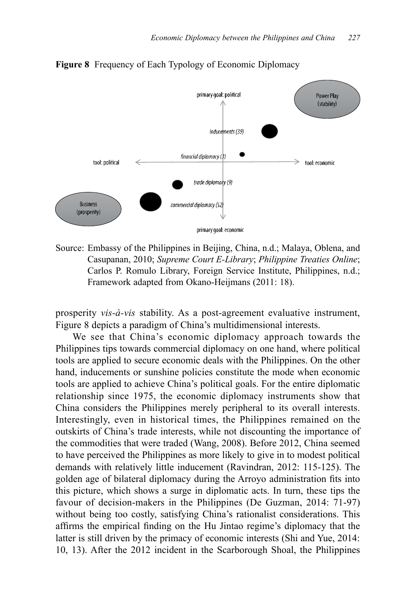

**Figure 8** Frequency of Each Typology of Economic Diplomacy

Source: Embassy of the Philippines in Beijing, China, n.d.; Malaya, Oblena, and Casupanan, 2010; *Supreme Court E-Library*; *Philippine Treaties Online*; Carlos P. Romulo Library, Foreign Service Institute, Philippines, n.d.; Framework adapted from Okano-Heijmans (2011: 18).

prosperity *vis-à-vis* stability. As a post-agreement evaluative instrument, Figure 8 depicts a paradigm of China's multidimensional interests.

We see that China's economic diplomacy approach towards the Philippines tips towards commercial diplomacy on one hand, where political tools are applied to secure economic deals with the Philippines. On the other hand, inducements or sunshine policies constitute the mode when economic tools are applied to achieve China's political goals. For the entire diplomatic relationship since 1975, the economic diplomacy instruments show that China considers the Philippines merely peripheral to its overall interests. Interestingly, even in historical times, the Philippines remained on the outskirts of China's trade interests, while not discounting the importance of the commodities that were traded (Wang, 2008). Before 2012, China seemed to have perceived the Philippines as more likely to give in to modest political demands with relatively little inducement (Ravindran, 2012: 115-125). The golden age of bilateral diplomacy during the Arroyo administration fits into this picture, which shows a surge in diplomatic acts. In turn, these tips the favour of decision-makers in the Philippines (De Guzman, 2014: 71-97) without being too costly, satisfying China's rationalist considerations. This affirms the empirical finding on the Hu Jintao regime's diplomacy that the latter is still driven by the primacy of economic interests (Shi and Yue, 2014: 10, 13). After the 2012 incident in the Scarborough Shoal, the Philippines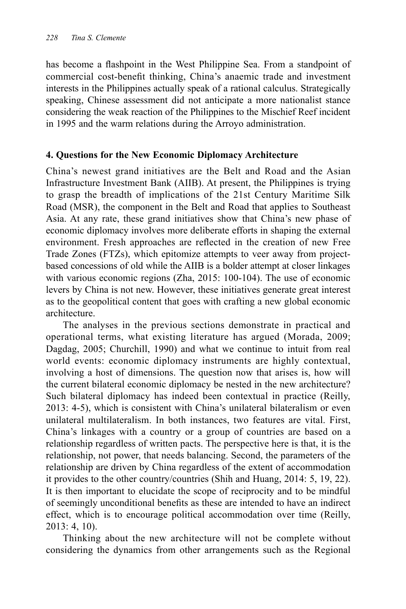has become a flashpoint in the West Philippine Sea. From a standpoint of commercial cost-benefit thinking, China's anaemic trade and investment interests in the Philippines actually speak of a rational calculus. Strategically speaking, Chinese assessment did not anticipate a more nationalist stance considering the weak reaction of the Philippines to the Mischief Reef incident in 1995 and the warm relations during the Arroyo administration.

## **4. Questions for the New Economic Diplomacy Architecture**

China's newest grand initiatives are the Belt and Road and the Asian Infrastructure Investment Bank (AIIB). At present, the Philippines is trying to grasp the breadth of implications of the 21st Century Maritime Silk Road (MSR), the component in the Belt and Road that applies to Southeast Asia. At any rate, these grand initiatives show that China's new phase of economic diplomacy involves more deliberate efforts in shaping the external environment. Fresh approaches are reflected in the creation of new Free Trade Zones (FTZs), which epitomize attempts to veer away from projectbased concessions of old while the AIIB is a bolder attempt at closer linkages with various economic regions (Zha, 2015: 100-104). The use of economic levers by China is not new. However, these initiatives generate great interest as to the geopolitical content that goes with crafting a new global economic architecture.

The analyses in the previous sections demonstrate in practical and operational terms, what existing literature has argued (Morada, 2009; Dagdag, 2005; Churchill, 1990) and what we continue to intuit from real world events: economic diplomacy instruments are highly contextual, involving a host of dimensions. The question now that arises is, how will the current bilateral economic diplomacy be nested in the new architecture? Such bilateral diplomacy has indeed been contextual in practice (Reilly, 2013: 4-5), which is consistent with China's unilateral bilateralism or even unilateral multilateralism. In both instances, two features are vital. First, China's linkages with a country or a group of countries are based on a relationship regardless of written pacts. The perspective here is that, it is the relationship, not power, that needs balancing. Second, the parameters of the relationship are driven by China regardless of the extent of accommodation it provides to the other country/countries (Shih and Huang, 2014: 5, 19, 22). It is then important to elucidate the scope of reciprocity and to be mindful of seemingly unconditional benefits as these are intended to have an indirect effect, which is to encourage political accommodation over time (Reilly, 2013: 4, 10).

Thinking about the new architecture will not be complete without considering the dynamics from other arrangements such as the Regional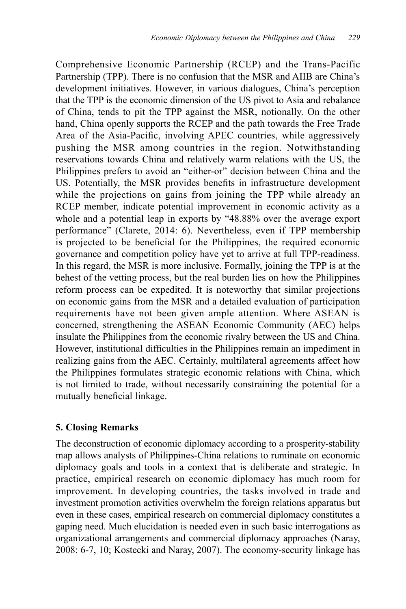Comprehensive Economic Partnership (RCEP) and the Trans-Pacific Partnership (TPP). There is no confusion that the MSR and AIIB are China's development initiatives. However, in various dialogues, China's perception that the TPP is the economic dimension of the US pivot to Asia and rebalance of China, tends to pit the TPP against the MSR, notionally. On the other hand, China openly supports the RCEP and the path towards the Free Trade Area of the Asia-Pacific, involving APEC countries, while aggressively pushing the MSR among countries in the region. Notwithstanding reservations towards China and relatively warm relations with the US, the Philippines prefers to avoid an "either-or" decision between China and the US. Potentially, the MSR provides benefits in infrastructure development while the projections on gains from joining the TPP while already an RCEP member, indicate potential improvement in economic activity as a whole and a potential leap in exports by "48.88% over the average export performance" (Clarete, 2014: 6). Nevertheless, even if TPP membership is projected to be beneficial for the Philippines, the required economic governance and competition policy have yet to arrive at full TPP-readiness. In this regard, the MSR is more inclusive. Formally, joining the TPP is at the behest of the vetting process, but the real burden lies on how the Philippines reform process can be expedited. It is noteworthy that similar projections on economic gains from the MSR and a detailed evaluation of participation requirements have not been given ample attention. Where ASEAN is concerned, strengthening the ASEAN Economic Community (AEC) helps insulate the Philippines from the economic rivalry between the US and China. However, institutional difficulties in the Philippines remain an impediment in realizing gains from the AEC. Certainly, multilateral agreements affect how the Philippines formulates strategic economic relations with China, which is not limited to trade, without necessarily constraining the potential for a mutually beneficial linkage.

#### **5. Closing Remarks**

The deconstruction of economic diplomacy according to a prosperity-stability map allows analysts of Philippines-China relations to ruminate on economic diplomacy goals and tools in a context that is deliberate and strategic. In practice, empirical research on economic diplomacy has much room for improvement. In developing countries, the tasks involved in trade and investment promotion activities overwhelm the foreign relations apparatus but even in these cases, empirical research on commercial diplomacy constitutes a gaping need. Much elucidation is needed even in such basic interrogations as organizational arrangements and commercial diplomacy approaches (Naray, 2008: 6-7, 10; Kostecki and Naray, 2007). The economy-security linkage has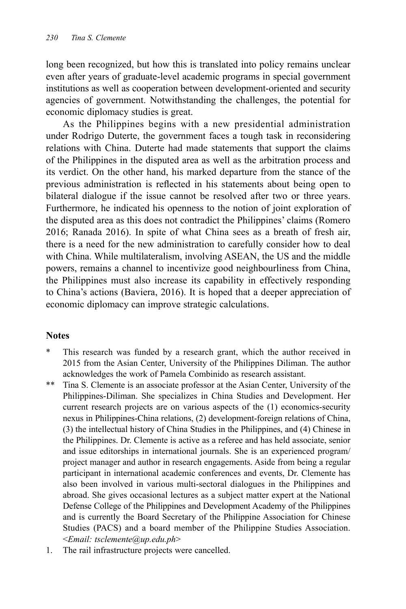long been recognized, but how this is translated into policy remains unclear even after years of graduate-level academic programs in special government institutions as well as cooperation between development-oriented and security agencies of government. Notwithstanding the challenges, the potential for economic diplomacy studies is great.

As the Philippines begins with a new presidential administration under Rodrigo Duterte, the government faces a tough task in reconsidering relations with China. Duterte had made statements that support the claims of the Philippines in the disputed area as well as the arbitration process and its verdict. On the other hand, his marked departure from the stance of the previous administration is reflected in his statements about being open to bilateral dialogue if the issue cannot be resolved after two or three years. Furthermore, he indicated his openness to the notion of joint exploration of the disputed area as this does not contradict the Philippines' claims (Romero 2016; Ranada 2016). In spite of what China sees as a breath of fresh air, there is a need for the new administration to carefully consider how to deal with China. While multilateralism, involving ASEAN, the US and the middle powers, remains a channel to incentivize good neighbourliness from China, the Philippines must also increase its capability in effectively responding to China's actions (Baviera, 2016). It is hoped that a deeper appreciation of economic diplomacy can improve strategic calculations.

## **Notes**

- This research was funded by a research grant, which the author received in 2015 from the Asian Center, University of the Philippines Diliman. The author acknowledges the work of Pamela Combinido as research assistant.
- \*\* Tina S. Clemente is an associate professor at the Asian Center, University of the Philippines-Diliman. She specializes in China Studies and Development. Her current research projects are on various aspects of the (1) economics-security nexus in Philippines-China relations, (2) development-foreign relations of China, (3) the intellectual history of China Studies in the Philippines, and (4) Chinese in the Philippines. Dr. Clemente is active as a referee and has held associate, senior and issue editorships in international journals. She is an experienced program/ project manager and author in research engagements. Aside from being a regular participant in international academic conferences and events, Dr. Clemente has also been involved in various multi-sectoral dialogues in the Philippines and abroad. She gives occasional lectures as a subject matter expert at the National Defense College of the Philippines and Development Academy of the Philippines and is currently the Board Secretary of the Philippine Association for Chinese Studies (PACS) and a board member of the Philippine Studies Association. <*Email: tsclemente@up.edu.ph*>
- 1. The rail infrastructure projects were cancelled.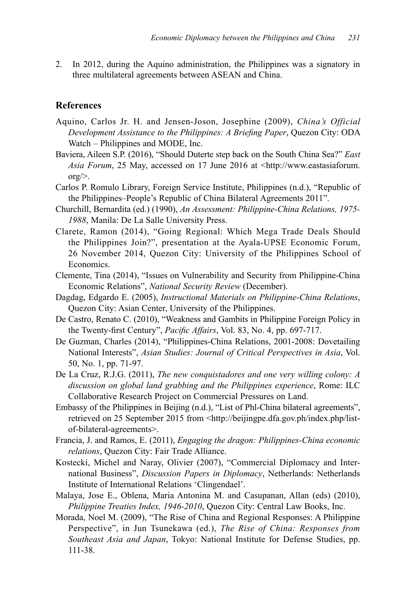2. In 2012, during the Aquino administration, the Philippines was a signatory in three multilateral agreements between ASEAN and China.

#### **References**

- Aquino, Carlos Jr. H. and Jensen-Joson, Josephine (2009), *China's Official Development Assistance to the Philippines: A Briefing Paper*, Quezon City: ODA Watch – Philippines and MODE, Inc.
- Baviera, Aileen S.P. (2016), "Should Duterte step back on the South China Sea?" *East Asia Forum*, 25 May, accessed on 17 June 2016 at <http://www.eastasiaforum. org $\geq$ .
- Carlos P. Romulo Library, Foreign Service Institute, Philippines (n.d.), "Republic of the Philippines–People's Republic of China Bilateral Agreements 2011".
- Churchill, Bernardita (ed.) (1990), *An Assessment: Philippine-China Relations, 1975- 1988*, Manila: De La Salle University Press.
- Clarete, Ramon (2014), "Going Regional: Which Mega Trade Deals Should the Philippines Join?", presentation at the Ayala-UPSE Economic Forum, 26 November 2014, Quezon City: University of the Philippines School of Economics.
- Clemente, Tina (2014), "Issues on Vulnerability and Security from Philippine-China Economic Relations", *National Security Review* (December).
- Dagdag, Edgardo E. (2005), *Instructional Materials on Philippine-China Relations*, Quezon City: Asian Center, University of the Philippines.
- De Castro, Renato C. (2010), "Weakness and Gambits in Philippine Foreign Policy in the Twenty-first Century", *Pacific Affairs*, Vol. 83, No. 4, pp. 697-717.
- De Guzman, Charles (2014), "Philippines-China Relations, 2001-2008: Dovetailing National Interests", *Asian Studies: Journal of Critical Perspectives in Asia*, Vol. 50, No. 1, pp. 71-97.
- De La Cruz, R.J.G. (2011), *The new conquistadores and one very willing colony: A discussion on global land grabbing and the Philippines experience*, Rome: ILC Collaborative Research Project on Commercial Pressures on Land.
- Embassy of the Philippines in Beijing (n.d.), "List of Phl-China bilateral agreements", retrieved on 25 September 2015 from <http://beijingpe.dfa.gov.ph/index.php/listof-bilateral-agreements>.
- Francia, J. and Ramos, E. (2011), *Engaging the dragon: Philippines-China economic relations*, Quezon City: Fair Trade Alliance.
- Kostecki, Michel and Naray, Olivier (2007), "Commercial Diplomacy and International Business", *Discussion Papers in Diplomacy*, Netherlands: Netherlands Institute of International Relations 'Clingendael'.
- Malaya, Jose E., Oblena, Maria Antonina M. and Casupanan, Allan (eds) (2010), *Philippine Treaties Index, 1946-2010*, Quezon City: Central Law Books, Inc.
- Morada, Noel M. (2009), "The Rise of China and Regional Responses: A Philippine Perspective", in Jun Tsunekawa (ed.), *The Rise of China: Responses from Southeast Asia and Japan*, Tokyo: National Institute for Defense Studies, pp. 111-38.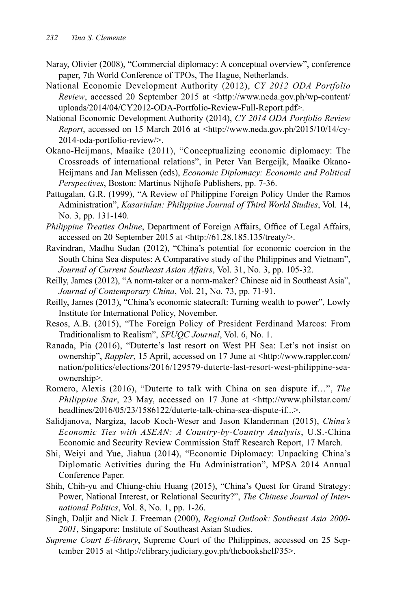- Naray, Olivier (2008), "Commercial diplomacy: A conceptual overview", conference paper, 7th World Conference of TPOs, The Hague, Netherlands.
- National Economic Development Authority (2012), *CY 2012 ODA Portfolio Review*, accessed 20 September 2015 at <http://www.neda.gov.ph/wp-content/ uploads/2014/04/CY2012-ODA-Portfolio-Review-Full-Report.pdf>.
- National Economic Development Authority (2014), *CY 2014 ODA Portfolio Review Report*, accessed on 15 March 2016 at <http://www.neda.gov.ph/2015/10/14/cy-2014-oda-portfolio-review/>.
- Okano-Heijmans, Maaike (2011), "Conceptualizing economic diplomacy: The Crossroads of international relations", in Peter Van Bergeijk, Maaike Okano-Heijmans and Jan Melissen (eds), *Economic Diplomacy: Economic and Political Perspectives*, Boston: Martinus Nijhofe Publishers, pp. 7-36.
- Pattugalan, G.R. (1999), "A Review of Philippine Foreign Policy Under the Ramos Administration", *Kasarinlan: Philippine Journal of Third World Studies*, Vol. 14, No. 3, pp. 131-140.
- *Philippine Treaties Online*, Department of Foreign Affairs, Office of Legal Affairs, accessed on 20 September 2015 at <http://61.28.185.135/treaty/>.
- Ravindran, Madhu Sudan (2012), "China's potential for economic coercion in the South China Sea disputes: A Comparative study of the Philippines and Vietnam", *Journal of Current Southeast Asian Affairs*, Vol. 31, No. 3, pp. 105-32.
- Reilly, James (2012), "A norm-taker or a norm-maker? Chinese aid in Southeast Asia", *Journal of Contemporary China*, Vol. 21, No. 73, pp. 71-91.
- Reilly, James (2013), "China's economic statecraft: Turning wealth to power", Lowly Institute for International Policy, November.
- Resos, A.B. (2015), "The Foreign Policy of President Ferdinand Marcos: From Traditionalism to Realism", *SPUQC Journal*, Vol. 6, No. 1.
- Ranada, Pia (2016), "Duterte's last resort on West PH Sea: Let's not insist on ownership", *Rappler*, 15 April, accessed on 17 June at <http://www.rappler.com/ nation/politics/elections/2016/129579-duterte-last-resort-west-philippine-seaownership>.
- Romero, Alexis (2016), "Duterte to talk with China on sea dispute if…", *The Philippine Star*, 23 May, accessed on 17 June at <http://www.philstar.com/ headlines/2016/05/23/1586122/duterte-talk-china-sea-dispute-if...>.
- Salidjanova, Nargiza, Iacob Koch-Weser and Jason Klanderman (2015), *China's Economic Ties with ASEAN: A Country-by-Country Analysis*, U.S.-China Economic and Security Review Commission Staff Research Report, 17 March.
- Shi, Weiyi and Yue, Jiahua (2014), "Economic Diplomacy: Unpacking China's Diplomatic Activities during the Hu Administration", MPSA 2014 Annual Conference Paper.
- Shih, Chih-yu and Chiung-chiu Huang (2015), "China's Quest for Grand Strategy: Power, National Interest, or Relational Security?", *The Chinese Journal of International Politics*, Vol. 8, No. 1, pp. 1-26.
- Singh, Daljit and Nick J. Freeman (2000), *Regional Outlook: Southeast Asia 2000- 2001*, Singapore: Institute of Southeast Asian Studies.
- *Supreme Court E-library*, Supreme Court of the Philippines, accessed on 25 September 2015 at <http://elibrary.judiciary.gov.ph/thebookshelf/35>.